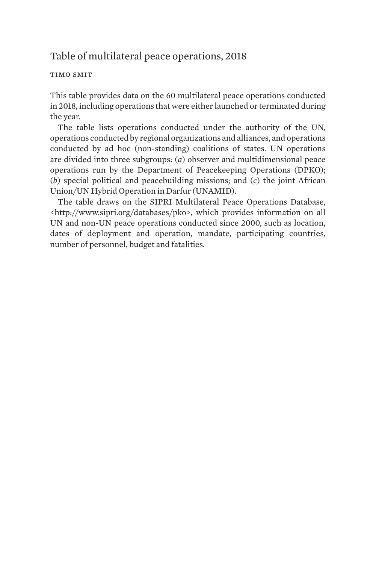## Table of multilateral peace operations, 2018

## timo smit

This table provides data on the 60 multilateral peace operations conducted in 2018, including operations that were either launched or terminated during the year.

The table lists operations conducted under the authority of the UN, operations conducted by regional organizations and alliances, and operations conducted by ad hoc (non-standing) coalitions of states. UN operations are divided into three subgroups: (*a*) observer and multidimensional peace operations run by the Department of Peacekeeping Operations (DPKO); (*b*) special political and peacebuilding missions; and (*c*) the joint African Union/UN Hybrid Operation in Darfur (UNAMID).

The table draws on the SIPRI Multilateral Peace Operations Database, <http://www.sipri.org/databases/pko>, which provides information on all UN and non-UN peace operations conducted since 2000, such as location, dates of deployment and operation, mandate, participating countries, number of personnel, budget and fatalities.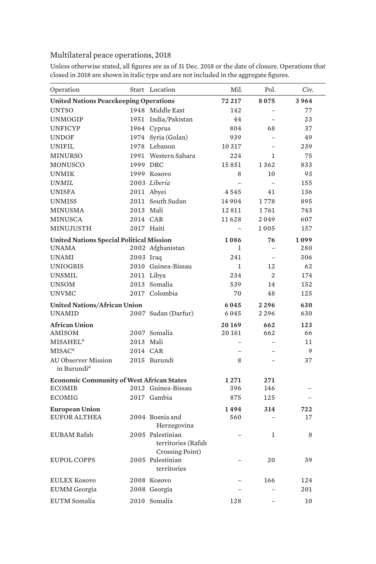## Multilateral peace operations, 2018

| Operation                                             |           | Start Location                                     | Mil.         | Pol.           | Civ. |
|-------------------------------------------------------|-----------|----------------------------------------------------|--------------|----------------|------|
| <b>United Nations Peacekeeping Operations</b>         | 72 217    | 8075                                               | 3964         |                |      |
| <b>UNTSO</b>                                          |           | 1948 Middle East                                   | 142          |                | 77   |
| <b>UNMOGIP</b>                                        |           | 1951 India/Pakistan                                | 44           |                | 23   |
| <b>UNFICYP</b>                                        |           | 1964 Cyprus                                        | 804          | 68             | 37   |
| <b>UNDOF</b>                                          |           | 1974 Syria (Golan)                                 | 939          | $\equiv$       | 49   |
| <b>UNIFIL</b>                                         |           | 1978 Lebanon                                       | 10 3 17      |                | 239  |
| <b>MINURSO</b>                                        |           | 1991 Western Sahara                                | 2.2.4        | 1              | 75   |
| MONUSCO                                               | 1999 DRC  |                                                    | 15851        | 1362           | 833  |
| <b>UNMIK</b>                                          |           | 1999 Kosovo                                        | 8            | 10             | 93   |
| <b>UNMIL</b>                                          |           | 2003 Liberia                                       |              | L.             | 155  |
| <b>UNISFA</b>                                         |           | 2011 Abvei                                         | 4545         | 41             | 136  |
| <b>UNMISS</b>                                         |           | 2011 South Sudan                                   | 14904        | 1778           | 895  |
| <b>MINUSMA</b>                                        | 2013 Mali |                                                    | 12811        | 1761           | 743  |
| <b>MINUSCA</b>                                        | 2014 CAR  |                                                    | 11628        | 2049           | 607  |
| MINUJUSTH                                             |           | 2017 Haiti                                         | $\equiv$     | 1005           | 157  |
| <b>United Nations Special Political Mission</b>       | 1086      | 76                                                 | 1099         |                |      |
| <b>UNAMA</b>                                          |           | 2002 Afghanistan                                   | $\mathbf{1}$ |                | 280  |
| <b>UNAMI</b>                                          | 2003 Iraq |                                                    | 241          | $\equiv$       | 306  |
| <b>UNIOGBIS</b>                                       |           | 2010 Guinea-Bissau                                 | $\mathbf{1}$ | 12             | 62   |
| <b>UNSMIL</b>                                         |           | 2011 Libya                                         | 234          | $\mathfrak{D}$ | 174  |
| <b>UNSOM</b>                                          |           | 2013 Somalia                                       | 539          | 14             | 152  |
| <b>UNVMC</b>                                          |           | 2017 Colombia                                      | 70           | 48             | 125  |
| <b>United Nations/African Union</b>                   | 6045      | 2296                                               | 630          |                |      |
| <b>IINAMID</b>                                        |           | 2007 Sudan (Darfur)                                | 6045         | 2296           | 630  |
| <b>African Union</b>                                  |           |                                                    | 20169        | 662            | 123  |
| AMISOM                                                |           | 2007 Somalia                                       | 20161        | 662            | 66   |
| MISAHEL <sup>a</sup>                                  | 2013 Mali |                                                    |              | $\equiv$       | 11   |
| MISAC <sup>a</sup>                                    | 2014 CAR  |                                                    |              |                | 9    |
| <b>AU Observer Mission</b><br>in Burundi <sup>a</sup> |           | 2015 Burundi                                       | 8            |                | 37   |
| <b>Economic Community of West African States</b>      | 1271      | 271                                                |              |                |      |
| <b>ECOMIB</b>                                         |           | 2012 Guinea-Bissau                                 | 396          | 146            |      |
| <b>ECOMIG</b>                                         |           | 2017 Gambia                                        | 875          | 125            |      |
| <b>European Union</b>                                 |           |                                                    | 1494         | 314            | 722  |
| <b>EUFOR ALTHEA</b>                                   |           | 2004 Bosnia and                                    | 560          |                | 17   |
|                                                       |           | Herzegovina                                        |              |                |      |
| <b>EUBAM Rafah</b>                                    |           | 2005 Palestinian<br>territories (Rafah             |              | 1              | 8    |
| <b>EUPOL COPPS</b>                                    |           | Crossing Point)<br>2005 Palestinian<br>territories |              | 20             | 39   |
| <b>EULEX Kosovo</b>                                   |           | 2008 Kosovo                                        |              | 166            | 124  |
| <b>EUMM</b> Georgia                                   |           | 2008 Georgia                                       |              |                | 201  |
| <b>EUTM</b> Somalia                                   |           | 2010 Somalia                                       | 128          |                | 10   |
|                                                       |           |                                                    |              |                |      |

Unless otherwise stated, all figures are as of 31 Dec. 2018 or the date of closure. Operations that closed in 2018 are shown in italic type and are not included in the aggregate figures.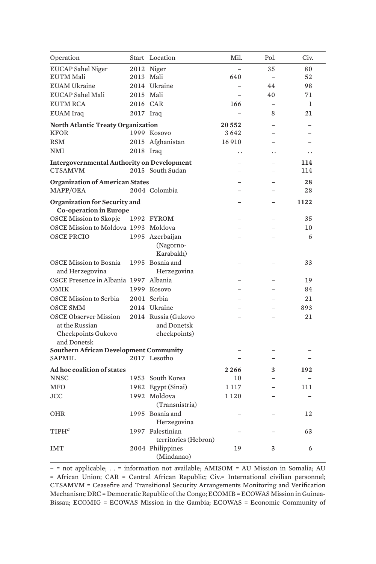| Operation                                                      |           | Start Location                 | Mil.                 | Pol.                 | Civ.         |
|----------------------------------------------------------------|-----------|--------------------------------|----------------------|----------------------|--------------|
| <b>EUCAP Sahel Niger</b>                                       |           | 2012 Niger                     |                      | 35                   | 80           |
| <b>EUTM Mali</b>                                               | 2013 Mali |                                | 640                  |                      | 52           |
| <b>EUAM Ukraine</b>                                            |           | 2014 Ukraine                   |                      | 44                   | 98           |
| EUCAP Sahel Mali                                               | 2015 Mali |                                |                      | 40                   | 71           |
| <b>EUTM RCA</b>                                                | 2016 CAR  |                                | 166                  |                      | $\mathbf{1}$ |
| <b>EUAM</b> Iraq                                               | 2017 Iraq |                                |                      | 8                    | 21           |
| North Atlantic Treaty Organization                             |           | 20552                          |                      |                      |              |
| <b>KFOR</b>                                                    |           | 1999 Kosovo                    | 3642                 |                      |              |
| <b>RSM</b>                                                     |           | 2015 Afghanistan               | 16910                |                      |              |
| <b>NMI</b>                                                     | 2018 Iraq |                                | $\ddot{\phantom{0}}$ | $\ddot{\phantom{0}}$ | . .          |
| <b>Intergovernmental Authority on Development</b>              |           |                                |                      |                      | 114          |
| <b>CTSAMVM</b>                                                 |           | 2015 South Sudan               |                      |                      | 114          |
| <b>Organization of American States</b>                         |           |                                |                      |                      | 28           |
| MAPP/OEA                                                       |           | 2004 Colombia                  |                      |                      | 28           |
| Organization for Security and                                  |           |                                |                      |                      | 1122         |
| <b>Co-operation in Europe</b>                                  |           |                                |                      |                      |              |
| <b>OSCE Mission to Skopje</b>                                  |           | 1992 FYROM                     |                      |                      | 35           |
| OSCE Mission to Moldova 1993 Moldova                           |           |                                |                      |                      | 10           |
| <b>OSCE PRCIO</b>                                              |           | 1995 Azerbaijan                |                      |                      | 6            |
|                                                                |           | (Nagorno-                      |                      |                      |              |
|                                                                |           | Karabakh)                      |                      |                      |              |
| <b>OSCE Mission to Bosnia</b>                                  |           | 1995 Bosnia and                |                      |                      | 33           |
| and Herzegovina                                                |           | Herzegovina                    |                      |                      |              |
| OSCE Presence in Albania 1997 Albania                          |           |                                |                      |                      | 19           |
| <b>OMIK</b>                                                    |           | 1999 Kosovo                    |                      |                      | 84           |
| OSCE Mission to Serbia                                         |           | 2001 Serbia                    |                      |                      | 21           |
| <b>OSCE SMM</b>                                                |           | 2014 Ukraine                   |                      |                      | 893          |
| <b>OSCE Observer Mission</b>                                   |           | 2014 Russia (Gukovo            |                      |                      | 21           |
| at the Russian                                                 |           | and Donetsk                    |                      |                      |              |
| Checkpoints Gukovo                                             |           | checkpoints)                   |                      |                      |              |
| and Donetsk                                                    |           |                                |                      |                      |              |
| <b>Southern African Development Community</b><br><b>SAPMIL</b> |           | 2017 Lesotho                   |                      |                      |              |
|                                                                |           |                                |                      |                      |              |
| Ad hoc coalition of states                                     |           |                                | 2266                 | 3                    | 192          |
| <b>NNSC</b>                                                    |           | 1953 South Korea               | 10                   | L.                   |              |
| <b>MFO</b>                                                     |           | 1982 Egypt (Sinai)             | 1 1 1 7              |                      | 111          |
| <b>JCC</b>                                                     |           | 1992 Moldova                   | 1 1 2 0              |                      |              |
|                                                                |           | (Transnistria)                 |                      |                      |              |
| <b>OHR</b>                                                     |           | 1995 Bosnia and<br>Herzegovina |                      |                      | 12           |
| $TIPH^d$                                                       |           | 1997 Palestinian               |                      |                      | 63           |
|                                                                |           | territories (Hebron)           |                      |                      |              |
| <b>IMT</b>                                                     |           | 2004 Philippines               | 19                   | 3                    | 6            |
|                                                                |           | (Mindanao)                     |                      |                      |              |

– = not applicable; . . = information not available; AMISOM = AU Mission in Somalia; AU = African Union; CAR = Central African Republic; Civ.= International civilian personnel; CTSAMVM = Ceasefire and Transitional Security Arrangements Monitoring and Verification Mechanism; DRC = Democratic Republic of the Congo; ECOMIB = ECOWAS Mission in Guinea-Bissau; ECOMIG = ECOWAS Mission in the Gambia; ECOWAS = Economic Community of